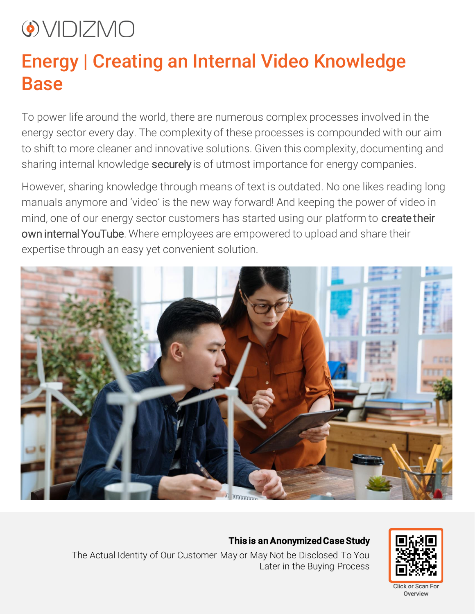## O VIDIZMO

## Energy | Creating an Internal Video Knowledge Base

To power life around the world, there are numerous complex processes involved in the energy sector every day. The complexity of these processes is compounded with our aim to shift to more cleaner and innovative solutions. Given this complexity, documenting and sharing internal knowledge securely is of utmost importance for energy companies.

However, sharing knowledge through means of text is outdated. No one likes reading long manuals anymore and 'video' is the new way forward! And keeping the power of video in mind, one of our energy sector customers has started using our platform to create their own internal YouTube. Where employees are empowered to upload and share their expertise through an easy yet convenient solution.



This is an Anonymized Case Study



The Actual Identity of Our Customer May or May Not be Disclosed To You Later in the Buying Process